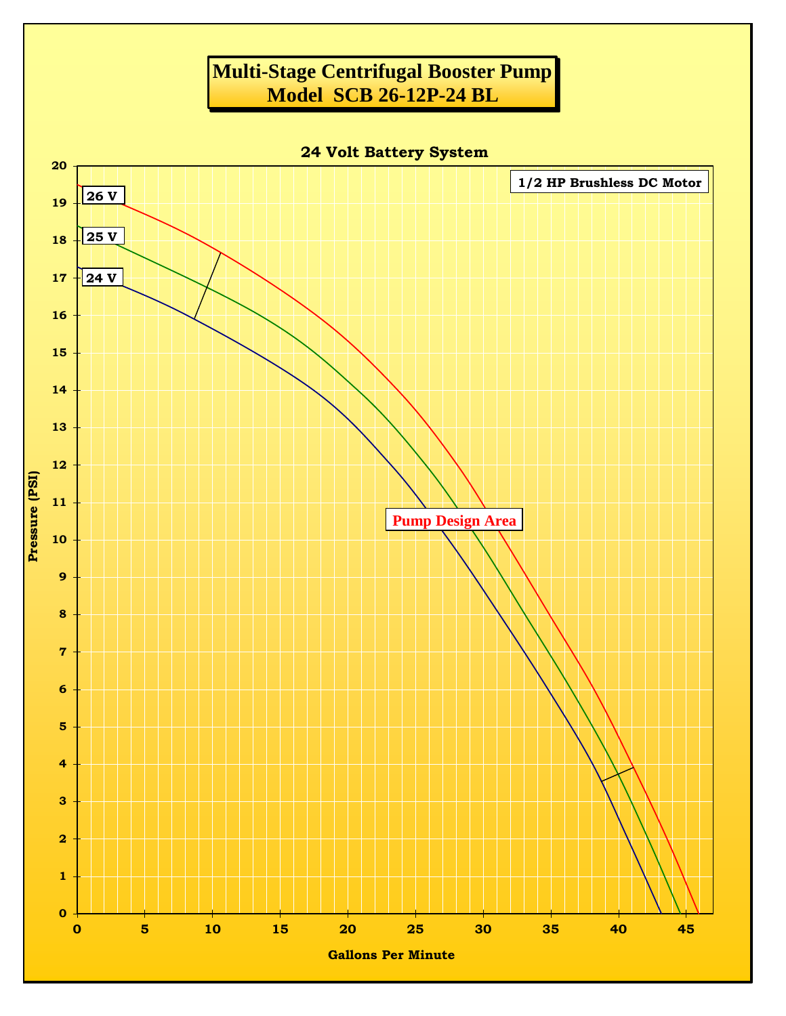## **Multi-Stage Centrifugal Booster Pump Model SCB 26-12P-24 BL**